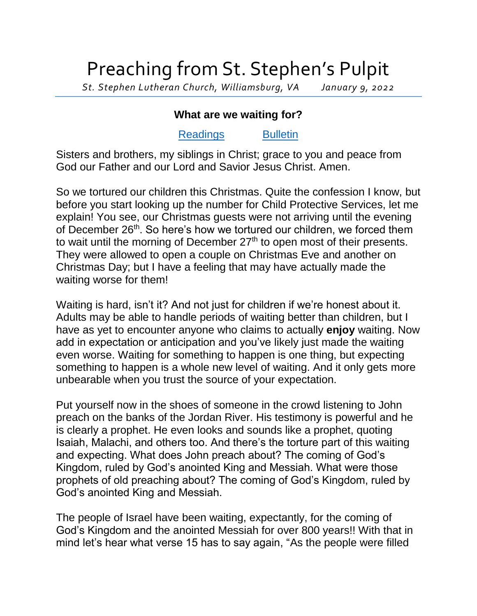## Preaching from St. Stephen's Pulpit

*St. Stephen Lutheran Church, Williamsburg, VA January 9, 2022*

## **What are we waiting for?**

## [Readings](https://lectionary.library.vanderbilt.edu/texts.php?id=105) [Bulletin](http://www.saintstephenlutheran.net/sunday-bulletins/)

Sisters and brothers, my siblings in Christ; grace to you and peace from God our Father and our Lord and Savior Jesus Christ. Amen.

So we tortured our children this Christmas. Quite the confession I know, but before you start looking up the number for Child Protective Services, let me explain! You see, our Christmas guests were not arriving until the evening of December 26<sup>th</sup>. So here's how we tortured our children, we forced them to wait until the morning of December  $27<sup>th</sup>$  to open most of their presents. They were allowed to open a couple on Christmas Eve and another on Christmas Day; but I have a feeling that may have actually made the waiting worse for them!

Waiting is hard, isn't it? And not just for children if we're honest about it. Adults may be able to handle periods of waiting better than children, but I have as yet to encounter anyone who claims to actually **enjoy** waiting. Now add in expectation or anticipation and you've likely just made the waiting even worse. Waiting for something to happen is one thing, but expecting something to happen is a whole new level of waiting. And it only gets more unbearable when you trust the source of your expectation.

Put yourself now in the shoes of someone in the crowd listening to John preach on the banks of the Jordan River. His testimony is powerful and he is clearly a prophet. He even looks and sounds like a prophet, quoting Isaiah, Malachi, and others too. And there's the torture part of this waiting and expecting. What does John preach about? The coming of God's Kingdom, ruled by God's anointed King and Messiah. What were those prophets of old preaching about? The coming of God's Kingdom, ruled by God's anointed King and Messiah.

The people of Israel have been waiting, expectantly, for the coming of God's Kingdom and the anointed Messiah for over 800 years!! With that in mind let's hear what verse 15 has to say again, "As the people were filled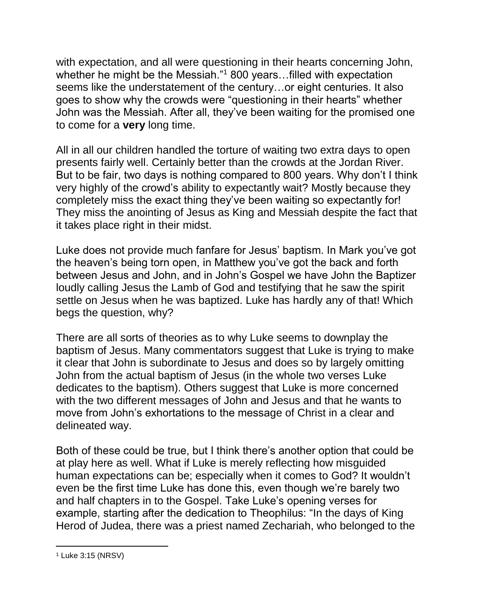with expectation, and all were questioning in their hearts concerning John, whether he might be the Messiah."<sup>1</sup> 800 years...filled with expectation seems like the understatement of the century…or eight centuries. It also goes to show why the crowds were "questioning in their hearts" whether John was the Messiah. After all, they've been waiting for the promised one to come for a **very** long time.

All in all our children handled the torture of waiting two extra days to open presents fairly well. Certainly better than the crowds at the Jordan River. But to be fair, two days is nothing compared to 800 years. Why don't I think very highly of the crowd's ability to expectantly wait? Mostly because they completely miss the exact thing they've been waiting so expectantly for! They miss the anointing of Jesus as King and Messiah despite the fact that it takes place right in their midst.

Luke does not provide much fanfare for Jesus' baptism. In Mark you've got the heaven's being torn open, in Matthew you've got the back and forth between Jesus and John, and in John's Gospel we have John the Baptizer loudly calling Jesus the Lamb of God and testifying that he saw the spirit settle on Jesus when he was baptized. Luke has hardly any of that! Which begs the question, why?

There are all sorts of theories as to why Luke seems to downplay the baptism of Jesus. Many commentators suggest that Luke is trying to make it clear that John is subordinate to Jesus and does so by largely omitting John from the actual baptism of Jesus (in the whole two verses Luke dedicates to the baptism). Others suggest that Luke is more concerned with the two different messages of John and Jesus and that he wants to move from John's exhortations to the message of Christ in a clear and delineated way.

Both of these could be true, but I think there's another option that could be at play here as well. What if Luke is merely reflecting how misguided human expectations can be; especially when it comes to God? It wouldn't even be the first time Luke has done this, even though we're barely two and half chapters in to the Gospel. Take Luke's opening verses for example, starting after the dedication to Theophilus: "In the days of King Herod of Judea, there was a priest named Zechariah, who belonged to the

 <sup>1</sup> Luke 3:15 (NRSV)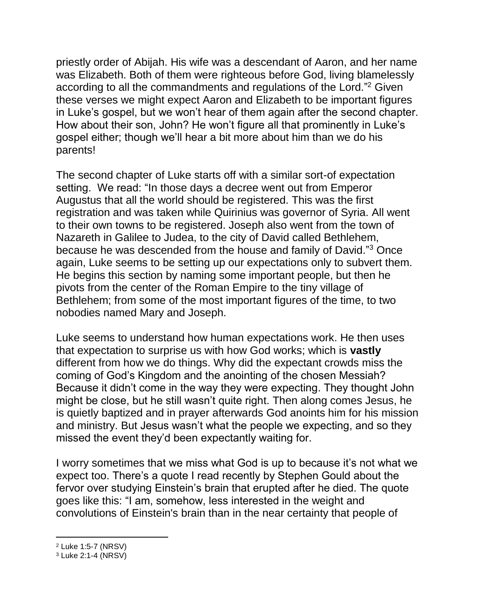priestly order of Abijah. His wife was a descendant of Aaron, and her name was Elizabeth. Both of them were righteous before God, living blamelessly according to all the commandments and regulations of the Lord."<sup>2</sup> Given these verses we might expect Aaron and Elizabeth to be important figures in Luke's gospel, but we won't hear of them again after the second chapter. How about their son, John? He won't figure all that prominently in Luke's gospel either; though we'll hear a bit more about him than we do his parents!

The second chapter of Luke starts off with a similar sort-of expectation setting. We read: "In those days a decree went out from Emperor Augustus that all the world should be registered. This was the first registration and was taken while Quirinius was governor of Syria. All went to their own towns to be registered. Joseph also went from the town of Nazareth in Galilee to Judea, to the city of David called Bethlehem, because he was descended from the house and family of David."<sup>3</sup> Once again, Luke seems to be setting up our expectations only to subvert them. He begins this section by naming some important people, but then he pivots from the center of the Roman Empire to the tiny village of Bethlehem; from some of the most important figures of the time, to two nobodies named Mary and Joseph.

Luke seems to understand how human expectations work. He then uses that expectation to surprise us with how God works; which is **vastly** different from how we do things. Why did the expectant crowds miss the coming of God's Kingdom and the anointing of the chosen Messiah? Because it didn't come in the way they were expecting. They thought John might be close, but he still wasn't quite right. Then along comes Jesus, he is quietly baptized and in prayer afterwards God anoints him for his mission and ministry. But Jesus wasn't what the people we expecting, and so they missed the event they'd been expectantly waiting for.

I worry sometimes that we miss what God is up to because it's not what we expect too. There's a quote I read recently by Stephen Gould about the fervor over studying Einstein's brain that erupted after he died. The quote goes like this: "I am, somehow, less interested in the weight and convolutions of Einstein's brain than in the near certainty that people of

l

<sup>2</sup> Luke 1:5-7 (NRSV)

<sup>3</sup> Luke 2:1-4 (NRSV)